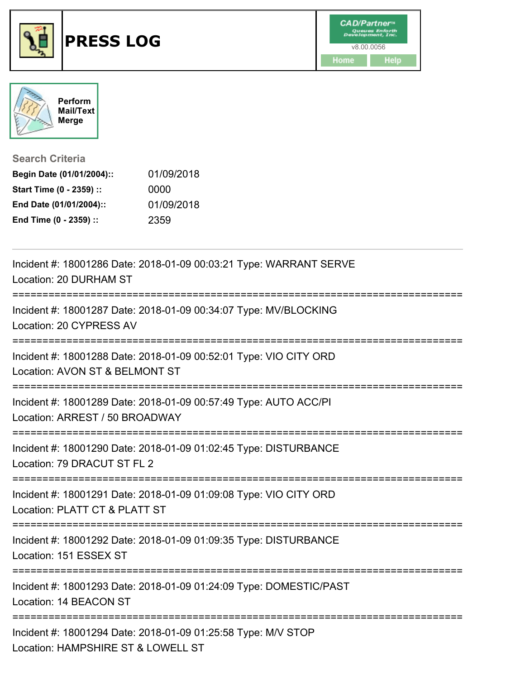



**Search Criteria**

| Begin Date (01/01/2004):: | 01/09/2018 |
|---------------------------|------------|
| Start Time (0 - 2359) ::  | 0000       |
| End Date (01/01/2004)::   | 01/09/2018 |
| End Time (0 - 2359) ::    | 2359       |

| Incident #: 18001286 Date: 2018-01-09 00:03:21 Type: WARRANT SERVE<br>Location: 20 DURHAM ST                                   |
|--------------------------------------------------------------------------------------------------------------------------------|
| Incident #: 18001287 Date: 2018-01-09 00:34:07 Type: MV/BLOCKING<br>Location: 20 CYPRESS AV                                    |
| Incident #: 18001288 Date: 2018-01-09 00:52:01 Type: VIO CITY ORD<br>Location: AVON ST & BELMONT ST                            |
| Incident #: 18001289 Date: 2018-01-09 00:57:49 Type: AUTO ACC/PI<br>Location: ARREST / 50 BROADWAY<br>;======================= |
| Incident #: 18001290 Date: 2018-01-09 01:02:45 Type: DISTURBANCE<br>Location: 79 DRACUT ST FL 2<br>========================    |
| Incident #: 18001291 Date: 2018-01-09 01:09:08 Type: VIO CITY ORD<br>Location: PLATT CT & PLATT ST                             |
| Incident #: 18001292 Date: 2018-01-09 01:09:35 Type: DISTURBANCE<br>Location: 151 ESSEX ST                                     |
| Incident #: 18001293 Date: 2018-01-09 01:24:09 Type: DOMESTIC/PAST<br>Location: 14 BEACON ST                                   |
| Incident #: 18001294 Date: 2018-01-09 01:25:58 Type: M/V STOP<br>Location: HAMPSHIRE ST & LOWELL ST                            |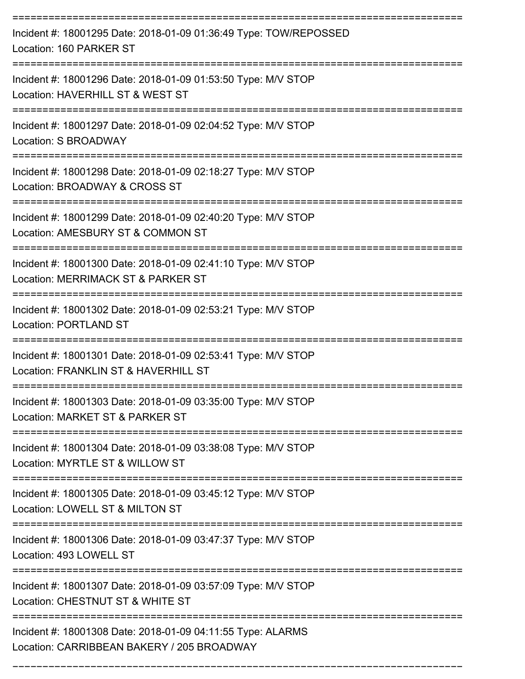| Incident #: 18001295 Date: 2018-01-09 01:36:49 Type: TOW/REPOSSED<br>Location: 160 PARKER ST                                    |
|---------------------------------------------------------------------------------------------------------------------------------|
| Incident #: 18001296 Date: 2018-01-09 01:53:50 Type: M/V STOP<br>Location: HAVERHILL ST & WEST ST                               |
| Incident #: 18001297 Date: 2018-01-09 02:04:52 Type: M/V STOP<br>Location: S BROADWAY                                           |
| Incident #: 18001298 Date: 2018-01-09 02:18:27 Type: M/V STOP<br>Location: BROADWAY & CROSS ST                                  |
| Incident #: 18001299 Date: 2018-01-09 02:40:20 Type: M/V STOP<br>Location: AMESBURY ST & COMMON ST                              |
| Incident #: 18001300 Date: 2018-01-09 02:41:10 Type: M/V STOP<br>Location: MERRIMACK ST & PARKER ST                             |
| Incident #: 18001302 Date: 2018-01-09 02:53:21 Type: M/V STOP<br><b>Location: PORTLAND ST</b>                                   |
| Incident #: 18001301 Date: 2018-01-09 02:53:41 Type: M/V STOP<br>Location: FRANKLIN ST & HAVERHILL ST                           |
| Incident #: 18001303 Date: 2018-01-09 03:35:00 Type: M/V STOP<br>Location: MARKET ST & PARKER ST                                |
| Incident #: 18001304 Date: 2018-01-09 03:38:08 Type: M/V STOP<br>Location: MYRTLE ST & WILLOW ST                                |
| Incident #: 18001305 Date: 2018-01-09 03:45:12 Type: M/V STOP<br>Location: LOWELL ST & MILTON ST                                |
| ===================================<br>Incident #: 18001306 Date: 2018-01-09 03:47:37 Type: M/V STOP<br>Location: 493 LOWELL ST |
| Incident #: 18001307 Date: 2018-01-09 03:57:09 Type: M/V STOP<br>Location: CHESTNUT ST & WHITE ST                               |
| Incident #: 18001308 Date: 2018-01-09 04:11:55 Type: ALARMS<br>Location: CARRIBBEAN BAKERY / 205 BROADWAY                       |

===========================================================================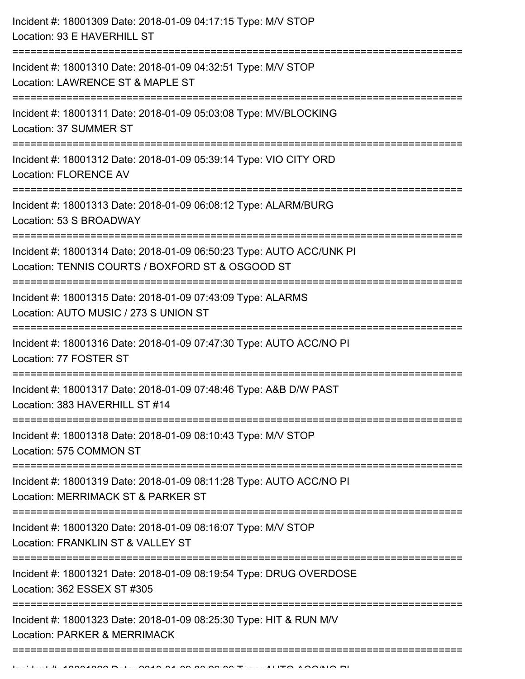| Incident #: 18001309 Date: 2018-01-09 04:17:15 Type: M/V STOP<br>Location: 93 E HAVERHILL ST                                                                |
|-------------------------------------------------------------------------------------------------------------------------------------------------------------|
| Incident #: 18001310 Date: 2018-01-09 04:32:51 Type: M/V STOP<br>Location: LAWRENCE ST & MAPLE ST                                                           |
| Incident #: 18001311 Date: 2018-01-09 05:03:08 Type: MV/BLOCKING<br>Location: 37 SUMMER ST<br>-==================================                           |
| Incident #: 18001312 Date: 2018-01-09 05:39:14 Type: VIO CITY ORD<br><b>Location: FLORENCE AV</b>                                                           |
| Incident #: 18001313 Date: 2018-01-09 06:08:12 Type: ALARM/BURG<br>Location: 53 S BROADWAY                                                                  |
| Incident #: 18001314 Date: 2018-01-09 06:50:23 Type: AUTO ACC/UNK PI<br>Location: TENNIS COURTS / BOXFORD ST & OSGOOD ST<br>:============================== |
| Incident #: 18001315 Date: 2018-01-09 07:43:09 Type: ALARMS<br>Location: AUTO MUSIC / 273 S UNION ST                                                        |
| Incident #: 18001316 Date: 2018-01-09 07:47:30 Type: AUTO ACC/NO PI<br>Location: 77 FOSTER ST                                                               |
| Incident #: 18001317 Date: 2018-01-09 07:48:46 Type: A&B D/W PAST<br>Location: 383 HAVERHILL ST #14                                                         |
| Incident #: 18001318 Date: 2018-01-09 08:10:43 Type: M/V STOP<br>Location: 575 COMMON ST                                                                    |
| Incident #: 18001319 Date: 2018-01-09 08:11:28 Type: AUTO ACC/NO PI<br>Location: MERRIMACK ST & PARKER ST                                                   |
| Incident #: 18001320 Date: 2018-01-09 08:16:07 Type: M/V STOP<br>Location: FRANKLIN ST & VALLEY ST                                                          |
| Incident #: 18001321 Date: 2018-01-09 08:19:54 Type: DRUG OVERDOSE<br>Location: 362 ESSEX ST #305                                                           |
| Incident #: 18001323 Date: 2018-01-09 08:25:30 Type: HIT & RUN M/V<br>Location: PARKER & MERRIMACK                                                          |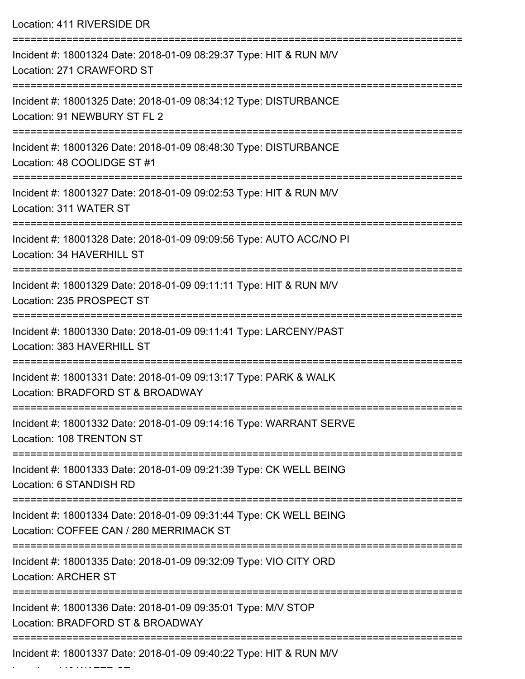| Location: 411 RIVERSIDE DR                                                                                    |
|---------------------------------------------------------------------------------------------------------------|
| Incident #: 18001324 Date: 2018-01-09 08:29:37 Type: HIT & RUN M/V<br>Location: 271 CRAWFORD ST               |
| Incident #: 18001325 Date: 2018-01-09 08:34:12 Type: DISTURBANCE<br>Location: 91 NEWBURY ST FL 2              |
| Incident #: 18001326 Date: 2018-01-09 08:48:30 Type: DISTURBANCE<br>Location: 48 COOLIDGE ST #1               |
| Incident #: 18001327 Date: 2018-01-09 09:02:53 Type: HIT & RUN M/V<br>Location: 311 WATER ST                  |
| Incident #: 18001328 Date: 2018-01-09 09:09:56 Type: AUTO ACC/NO PI<br>Location: 34 HAVERHILL ST              |
| Incident #: 18001329 Date: 2018-01-09 09:11:11 Type: HIT & RUN M/V<br>Location: 235 PROSPECT ST               |
| Incident #: 18001330 Date: 2018-01-09 09:11:41 Type: LARCENY/PAST<br>Location: 383 HAVERHILL ST               |
| Incident #: 18001331 Date: 2018-01-09 09:13:17 Type: PARK & WALK<br>Location: BRADFORD ST & BROADWAY          |
| Incident #: 18001332 Date: 2018-01-09 09:14:16 Type: WARRANT SERVE<br>Location: 108 TRENTON ST                |
| Incident #: 18001333 Date: 2018-01-09 09:21:39 Type: CK WELL BEING<br>Location: 6 STANDISH RD                 |
| Incident #: 18001334 Date: 2018-01-09 09:31:44 Type: CK WELL BEING<br>Location: COFFEE CAN / 280 MERRIMACK ST |
| Incident #: 18001335 Date: 2018-01-09 09:32:09 Type: VIO CITY ORD<br>Location: ARCHER ST                      |
| Incident #: 18001336 Date: 2018-01-09 09:35:01 Type: M/V STOP<br>Location: BRADFORD ST & BROADWAY             |
| Incident #: 18001337 Date: 2018-01-09 09:40:22 Type: HIT & RUN M/V                                            |

Location: 140 WATER ST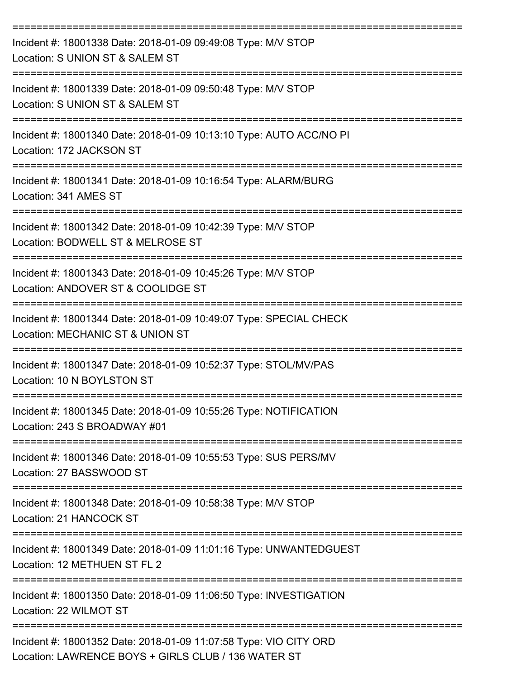| Incident #: 18001338 Date: 2018-01-09 09:49:08 Type: M/V STOP<br>Location: S UNION ST & SALEM ST                                                                       |
|------------------------------------------------------------------------------------------------------------------------------------------------------------------------|
| Incident #: 18001339 Date: 2018-01-09 09:50:48 Type: M/V STOP<br>Location: S UNION ST & SALEM ST                                                                       |
| Incident #: 18001340 Date: 2018-01-09 10:13:10 Type: AUTO ACC/NO PI<br>Location: 172 JACKSON ST                                                                        |
| Incident #: 18001341 Date: 2018-01-09 10:16:54 Type: ALARM/BURG<br>Location: 341 AMES ST                                                                               |
| Incident #: 18001342 Date: 2018-01-09 10:42:39 Type: M/V STOP<br>Location: BODWELL ST & MELROSE ST                                                                     |
| Incident #: 18001343 Date: 2018-01-09 10:45:26 Type: M/V STOP<br>Location: ANDOVER ST & COOLIDGE ST                                                                    |
| Incident #: 18001344 Date: 2018-01-09 10:49:07 Type: SPECIAL CHECK<br>Location: MECHANIC ST & UNION ST                                                                 |
| Incident #: 18001347 Date: 2018-01-09 10:52:37 Type: STOL/MV/PAS<br>Location: 10 N BOYLSTON ST                                                                         |
| Incident #: 18001345 Date: 2018-01-09 10:55:26 Type: NOTIFICATION<br>Location: 243 S BROADWAY #01                                                                      |
| --------------------------------------<br>--------====================<br>Incident #: 18001346 Date: 2018-01-09 10:55:53 Type: SUS PERS/MV<br>Location: 27 BASSWOOD ST |
| Incident #: 18001348 Date: 2018-01-09 10:58:38 Type: M/V STOP<br>Location: 21 HANCOCK ST                                                                               |
| Incident #: 18001349 Date: 2018-01-09 11:01:16 Type: UNWANTEDGUEST<br>Location: 12 METHUEN ST FL 2                                                                     |
| Incident #: 18001350 Date: 2018-01-09 11:06:50 Type: INVESTIGATION<br>Location: 22 WILMOT ST                                                                           |
| Incident #: 18001352 Date: 2018-01-09 11:07:58 Type: VIO CITY ORD<br>Location: LAWRENCE BOYS + GIRLS CLUB / 136 WATER ST                                               |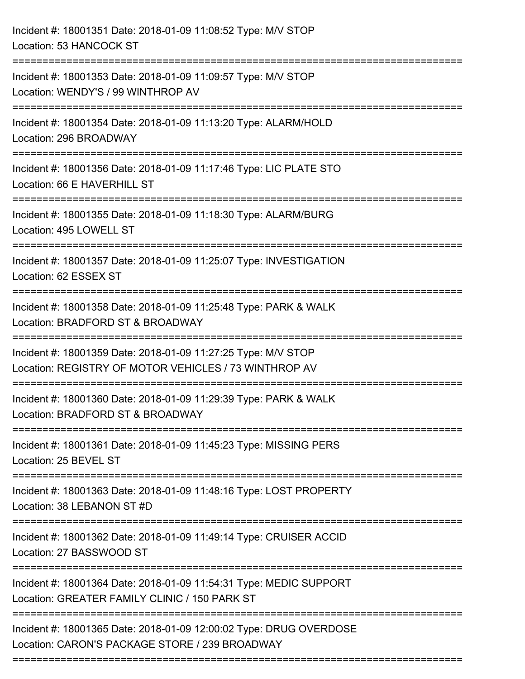| Incident #: 18001351 Date: 2018-01-09 11:08:52 Type: M/V STOP<br>Location: 53 HANCOCK ST                               |
|------------------------------------------------------------------------------------------------------------------------|
| Incident #: 18001353 Date: 2018-01-09 11:09:57 Type: M/V STOP<br>Location: WENDY'S / 99 WINTHROP AV                    |
| Incident #: 18001354 Date: 2018-01-09 11:13:20 Type: ALARM/HOLD<br>Location: 296 BROADWAY                              |
| Incident #: 18001356 Date: 2018-01-09 11:17:46 Type: LIC PLATE STO<br>Location: 66 E HAVERHILL ST                      |
| Incident #: 18001355 Date: 2018-01-09 11:18:30 Type: ALARM/BURG<br>Location: 495 LOWELL ST                             |
| Incident #: 18001357 Date: 2018-01-09 11:25:07 Type: INVESTIGATION<br>Location: 62 ESSEX ST                            |
| Incident #: 18001358 Date: 2018-01-09 11:25:48 Type: PARK & WALK<br>Location: BRADFORD ST & BROADWAY                   |
| Incident #: 18001359 Date: 2018-01-09 11:27:25 Type: M/V STOP<br>Location: REGISTRY OF MOTOR VEHICLES / 73 WINTHROP AV |
| Incident #: 18001360 Date: 2018-01-09 11:29:39 Type: PARK & WALK<br>Location: BRADFORD ST & BROADWAY                   |
| Incident #: 18001361 Date: 2018-01-09 11:45:23 Type: MISSING PERS<br>Location: 25 BEVEL ST                             |
| Incident #: 18001363 Date: 2018-01-09 11:48:16 Type: LOST PROPERTY<br>Location: 38 LEBANON ST #D                       |
| Incident #: 18001362 Date: 2018-01-09 11:49:14 Type: CRUISER ACCID<br>Location: 27 BASSWOOD ST                         |
| Incident #: 18001364 Date: 2018-01-09 11:54:31 Type: MEDIC SUPPORT<br>Location: GREATER FAMILY CLINIC / 150 PARK ST    |
| Incident #: 18001365 Date: 2018-01-09 12:00:02 Type: DRUG OVERDOSE<br>Location: CARON'S PACKAGE STORE / 239 BROADWAY   |
|                                                                                                                        |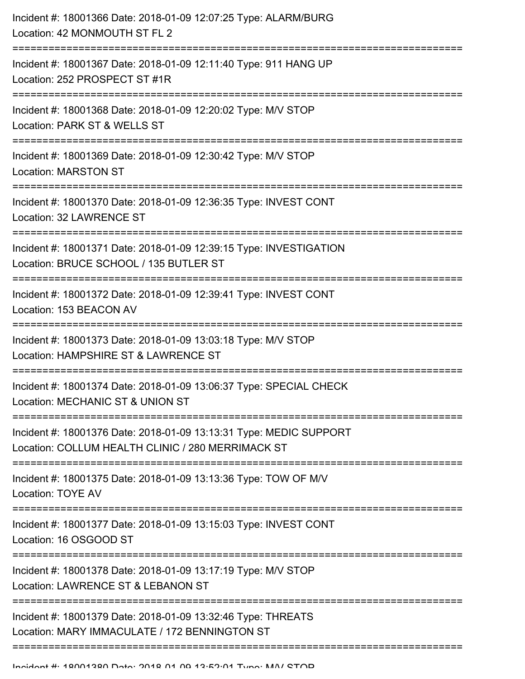| Incident #: 18001366 Date: 2018-01-09 12:07:25 Type: ALARM/BURG<br>Location: 42 MONMOUTH ST FL 2                                                     |
|------------------------------------------------------------------------------------------------------------------------------------------------------|
| Incident #: 18001367 Date: 2018-01-09 12:11:40 Type: 911 HANG UP<br>Location: 252 PROSPECT ST #1R                                                    |
| Incident #: 18001368 Date: 2018-01-09 12:20:02 Type: M/V STOP<br>Location: PARK ST & WELLS ST                                                        |
| Incident #: 18001369 Date: 2018-01-09 12:30:42 Type: M/V STOP<br><b>Location: MARSTON ST</b>                                                         |
| Incident #: 18001370 Date: 2018-01-09 12:36:35 Type: INVEST CONT<br>Location: 32 LAWRENCE ST                                                         |
| Incident #: 18001371 Date: 2018-01-09 12:39:15 Type: INVESTIGATION<br>Location: BRUCE SCHOOL / 135 BUTLER ST<br>;=================================== |
| Incident #: 18001372 Date: 2018-01-09 12:39:41 Type: INVEST CONT<br>Location: 153 BEACON AV                                                          |
| Incident #: 18001373 Date: 2018-01-09 13:03:18 Type: M/V STOP<br>Location: HAMPSHIRE ST & LAWRENCE ST                                                |
| Incident #: 18001374 Date: 2018-01-09 13:06:37 Type: SPECIAL CHECK<br>Location: MECHANIC ST & UNION ST                                               |
| Incident #: 18001376 Date: 2018-01-09 13:13:31 Type: MEDIC SUPPORT<br>Location: COLLUM HEALTH CLINIC / 280 MERRIMACK ST                              |
| Incident #: 18001375 Date: 2018-01-09 13:13:36 Type: TOW OF M/V<br>Location: TOYE AV                                                                 |
| Incident #: 18001377 Date: 2018-01-09 13:15:03 Type: INVEST CONT<br>Location: 16 OSGOOD ST                                                           |
| Incident #: 18001378 Date: 2018-01-09 13:17:19 Type: M/V STOP<br>Location: LAWRENCE ST & LEBANON ST                                                  |
| Incident #: 18001379 Date: 2018-01-09 13:32:46 Type: THREATS<br>Location: MARY IMMACULATE / 172 BENNINGTON ST                                        |
|                                                                                                                                                      |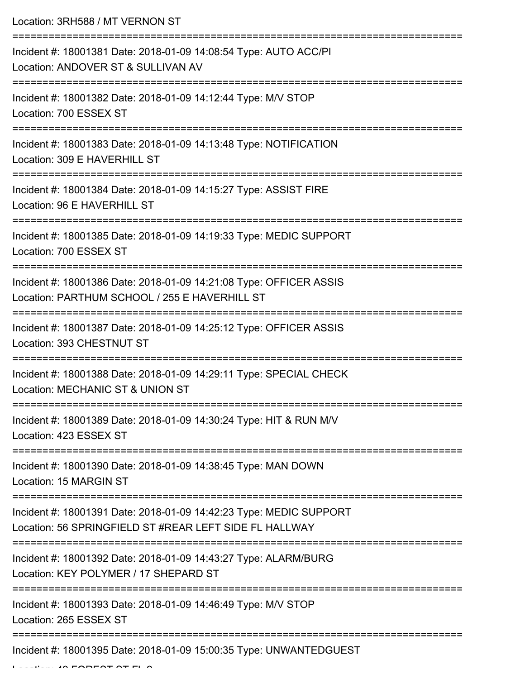Location: 3RH588 / MT VERNON ST

=========================================================================== Incident #: 18001381 Date: 2018-01-09 14:08:54 Type: AUTO ACC/PI Location: ANDOVER ST & SULLIVAN AV =========================================================================== Incident #: 18001382 Date: 2018-01-09 14:12:44 Type: M/V STOP Location: 700 ESSEX ST =========================================================================== Incident #: 18001383 Date: 2018-01-09 14:13:48 Type: NOTIFICATION Location: 309 E HAVERHILL ST =========================================================================== Incident #: 18001384 Date: 2018-01-09 14:15:27 Type: ASSIST FIRE Location: 96 E HAVERHILL ST =========================================================================== Incident #: 18001385 Date: 2018-01-09 14:19:33 Type: MEDIC SUPPORT Location: 700 ESSEX ST =========================================================================== Incident #: 18001386 Date: 2018-01-09 14:21:08 Type: OFFICER ASSIS Location: PARTHUM SCHOOL / 255 E HAVERHILL ST =========================================================================== Incident #: 18001387 Date: 2018-01-09 14:25:12 Type: OFFICER ASSIS Location: 393 CHESTNUT ST =========================================================================== Incident #: 18001388 Date: 2018-01-09 14:29:11 Type: SPECIAL CHECK Location: MECHANIC ST & UNION ST =========================================================================== Incident #: 18001389 Date: 2018-01-09 14:30:24 Type: HIT & RUN M/V Location: 423 ESSEX ST =========================================================================== Incident #: 18001390 Date: 2018-01-09 14:38:45 Type: MAN DOWN Location: 15 MARGIN ST =========================================================================== Incident #: 18001391 Date: 2018-01-09 14:42:23 Type: MEDIC SUPPORT Location: 56 SPRINGFIELD ST #REAR LEFT SIDE FL HALLWAY =========================================================================== Incident #: 18001392 Date: 2018-01-09 14:43:27 Type: ALARM/BURG Location: KEY POLYMER / 17 SHEPARD ST =========================================================================== Incident #: 18001393 Date: 2018-01-09 14:46:49 Type: M/V STOP Location: 265 ESSEX ST =========================================================================== Incident #: 18001395 Date: 2018-01-09 15:00:35 Type: UNWANTEDGUEST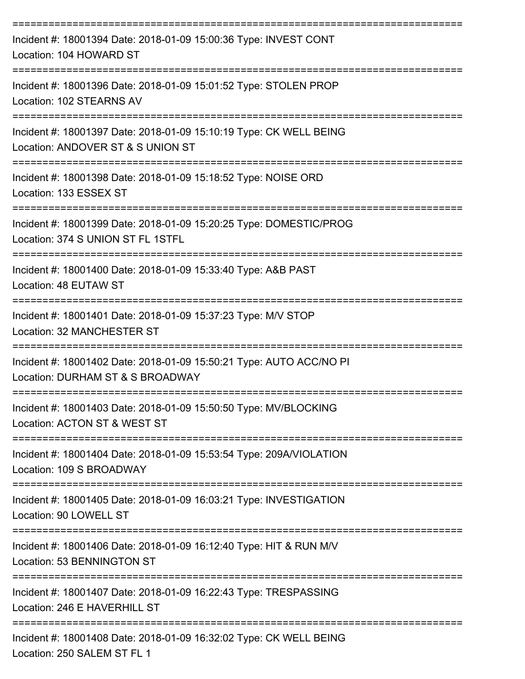| Incident #: 18001394 Date: 2018-01-09 15:00:36 Type: INVEST CONT<br>Location: 104 HOWARD ST                                       |
|-----------------------------------------------------------------------------------------------------------------------------------|
| Incident #: 18001396 Date: 2018-01-09 15:01:52 Type: STOLEN PROP<br>Location: 102 STEARNS AV                                      |
| Incident #: 18001397 Date: 2018-01-09 15:10:19 Type: CK WELL BEING<br>Location: ANDOVER ST & S UNION ST                           |
| Incident #: 18001398 Date: 2018-01-09 15:18:52 Type: NOISE ORD<br>Location: 133 ESSEX ST                                          |
| Incident #: 18001399 Date: 2018-01-09 15:20:25 Type: DOMESTIC/PROG<br>Location: 374 S UNION ST FL 1STFL<br>---------------------- |
| Incident #: 18001400 Date: 2018-01-09 15:33:40 Type: A&B PAST<br>Location: 48 EUTAW ST                                            |
| Incident #: 18001401 Date: 2018-01-09 15:37:23 Type: M/V STOP<br>Location: 32 MANCHESTER ST                                       |
| Incident #: 18001402 Date: 2018-01-09 15:50:21 Type: AUTO ACC/NO PI<br>Location: DURHAM ST & S BROADWAY                           |
| Incident #: 18001403 Date: 2018-01-09 15:50:50 Type: MV/BLOCKING<br>Location: ACTON ST & WEST ST                                  |
| Incident #: 18001404 Date: 2018-01-09 15:53:54 Type: 209A/VIOLATION<br>Location: 109 S BROADWAY                                   |
| Incident #: 18001405 Date: 2018-01-09 16:03:21 Type: INVESTIGATION<br>Location: 90 LOWELL ST                                      |
| ;===========================<br>Incident #: 18001406 Date: 2018-01-09 16:12:40 Type: HIT & RUN M/V<br>Location: 53 BENNINGTON ST  |
| Incident #: 18001407 Date: 2018-01-09 16:22:43 Type: TRESPASSING<br>Location: 246 E HAVERHILL ST                                  |
| Incident #: 18001408 Date: 2018-01-09 16:32:02 Type: CK WELL BEING<br>Location: 250 SALEM ST FL 1                                 |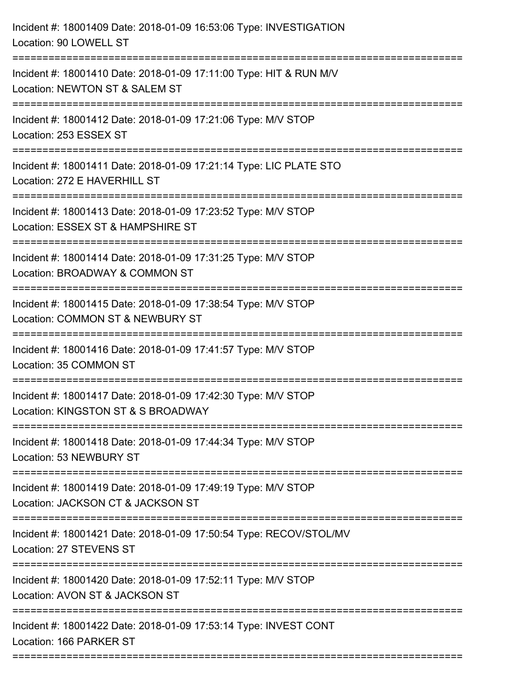| Incident #: 18001409 Date: 2018-01-09 16:53:06 Type: INVESTIGATION<br>Location: 90 LOWELL ST                                          |
|---------------------------------------------------------------------------------------------------------------------------------------|
| Incident #: 18001410 Date: 2018-01-09 17:11:00 Type: HIT & RUN M/V<br>Location: NEWTON ST & SALEM ST                                  |
| Incident #: 18001412 Date: 2018-01-09 17:21:06 Type: M/V STOP<br>Location: 253 ESSEX ST                                               |
| Incident #: 18001411 Date: 2018-01-09 17:21:14 Type: LIC PLATE STO<br>Location: 272 E HAVERHILL ST                                    |
| Incident #: 18001413 Date: 2018-01-09 17:23:52 Type: M/V STOP<br>Location: ESSEX ST & HAMPSHIRE ST                                    |
| Incident #: 18001414 Date: 2018-01-09 17:31:25 Type: M/V STOP<br>Location: BROADWAY & COMMON ST<br>;================================= |
| Incident #: 18001415 Date: 2018-01-09 17:38:54 Type: M/V STOP<br>Location: COMMON ST & NEWBURY ST                                     |
| Incident #: 18001416 Date: 2018-01-09 17:41:57 Type: M/V STOP<br>Location: 35 COMMON ST                                               |
| Incident #: 18001417 Date: 2018-01-09 17:42:30 Type: M/V STOP<br>Location: KINGSTON ST & S BROADWAY                                   |
| Incident #: 18001418 Date: 2018-01-09 17:44:34 Type: M/V STOP<br>Location: 53 NEWBURY ST                                              |
| Incident #: 18001419 Date: 2018-01-09 17:49:19 Type: M/V STOP<br>Location: JACKSON CT & JACKSON ST                                    |
| Incident #: 18001421 Date: 2018-01-09 17:50:54 Type: RECOV/STOL/MV<br>Location: 27 STEVENS ST                                         |
| Incident #: 18001420 Date: 2018-01-09 17:52:11 Type: M/V STOP<br>Location: AVON ST & JACKSON ST                                       |
| Incident #: 18001422 Date: 2018-01-09 17:53:14 Type: INVEST CONT<br>Location: 166 PARKER ST<br>===========================            |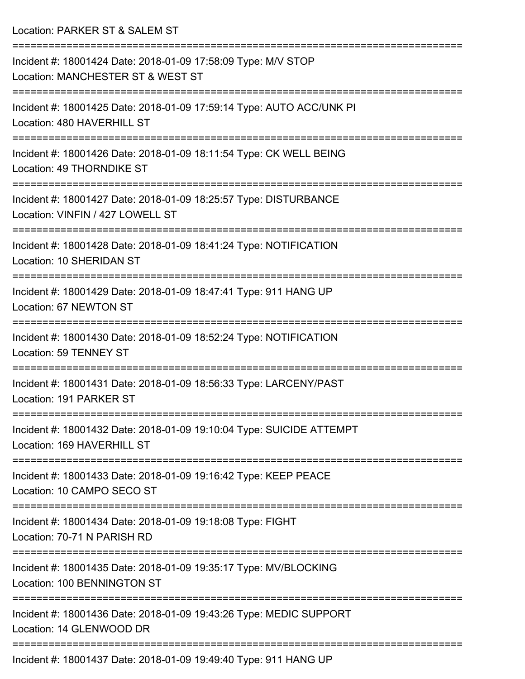Location: PARKER ST & SALEM ST

=========================================================================== Incident #: 18001424 Date: 2018-01-09 17:58:09 Type: M/V STOP Location: MANCHESTER ST & WEST ST =========================================================================== Incident #: 18001425 Date: 2018-01-09 17:59:14 Type: AUTO ACC/UNK PI Location: 480 HAVERHILL ST =========================================================================== Incident #: 18001426 Date: 2018-01-09 18:11:54 Type: CK WELL BEING Location: 49 THORNDIKE ST =========================================================================== Incident #: 18001427 Date: 2018-01-09 18:25:57 Type: DISTURBANCE Location: VINFIN / 427 LOWELL ST =========================================================================== Incident #: 18001428 Date: 2018-01-09 18:41:24 Type: NOTIFICATION Location: 10 SHERIDAN ST =========================================================================== Incident #: 18001429 Date: 2018-01-09 18:47:41 Type: 911 HANG UP Location: 67 NEWTON ST =========================================================================== Incident #: 18001430 Date: 2018-01-09 18:52:24 Type: NOTIFICATION Location: 59 TENNEY ST =========================================================================== Incident #: 18001431 Date: 2018-01-09 18:56:33 Type: LARCENY/PAST Location: 191 PARKER ST =========================================================================== Incident #: 18001432 Date: 2018-01-09 19:10:04 Type: SUICIDE ATTEMPT Location: 169 HAVERHILL ST =========================================================================== Incident #: 18001433 Date: 2018-01-09 19:16:42 Type: KEEP PEACE Location: 10 CAMPO SECO ST =========================================================================== Incident #: 18001434 Date: 2018-01-09 19:18:08 Type: FIGHT Location: 70-71 N PARISH RD =========================================================================== Incident #: 18001435 Date: 2018-01-09 19:35:17 Type: MV/BLOCKING Location: 100 BENNINGTON ST =========================================================================== Incident #: 18001436 Date: 2018-01-09 19:43:26 Type: MEDIC SUPPORT Location: 14 GLENWOOD DR ===========================================================================

Incident #: 18001437 Date: 2018-01-09 19:49:40 Type: 911 HANG UP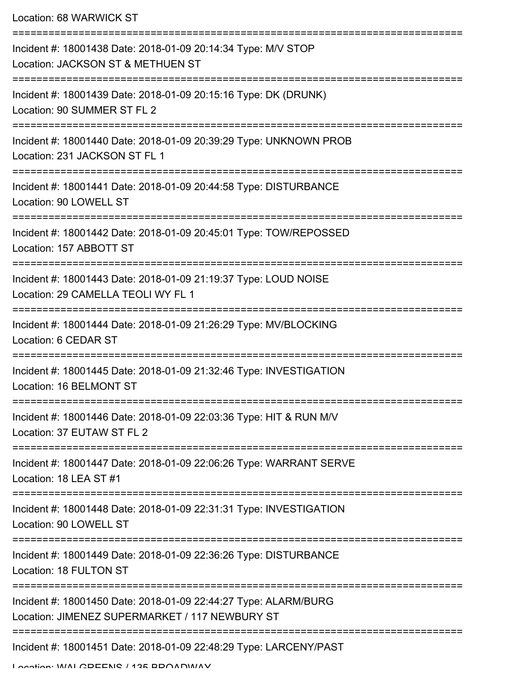| Location: 68 WARWICK ST                                                                                           |  |
|-------------------------------------------------------------------------------------------------------------------|--|
| Incident #: 18001438 Date: 2018-01-09 20:14:34 Type: M/V STOP<br>Location: JACKSON ST & METHUEN ST                |  |
| Incident #: 18001439 Date: 2018-01-09 20:15:16 Type: DK (DRUNK)<br>Location: 90 SUMMER ST FL 2                    |  |
| Incident #: 18001440 Date: 2018-01-09 20:39:29 Type: UNKNOWN PROB<br>Location: 231 JACKSON ST FL 1                |  |
| Incident #: 18001441 Date: 2018-01-09 20:44:58 Type: DISTURBANCE<br>Location: 90 LOWELL ST                        |  |
| Incident #: 18001442 Date: 2018-01-09 20:45:01 Type: TOW/REPOSSED<br>Location: 157 ABBOTT ST                      |  |
| Incident #: 18001443 Date: 2018-01-09 21:19:37 Type: LOUD NOISE<br>Location: 29 CAMELLA TEOLI WY FL 1             |  |
| Incident #: 18001444 Date: 2018-01-09 21:26:29 Type: MV/BLOCKING<br>Location: 6 CEDAR ST                          |  |
| Incident #: 18001445 Date: 2018-01-09 21:32:46 Type: INVESTIGATION<br>Location: 16 BELMONT ST                     |  |
| Incident #: 18001446 Date: 2018-01-09 22:03:36 Type: HIT & RUN M/V<br>Location: 37 EUTAW ST FL 2                  |  |
| Incident #: 18001447 Date: 2018-01-09 22:06:26 Type: WARRANT SERVE<br>Location: 18 LEA ST #1                      |  |
| Incident #: 18001448 Date: 2018-01-09 22:31:31 Type: INVESTIGATION<br>Location: 90 LOWELL ST                      |  |
| Incident #: 18001449 Date: 2018-01-09 22:36:26 Type: DISTURBANCE<br>Location: 18 FULTON ST                        |  |
| Incident #: 18001450 Date: 2018-01-09 22:44:27 Type: ALARM/BURG<br>Location: JIMENEZ SUPERMARKET / 117 NEWBURY ST |  |
| Incident #: 18001451 Date: 2018-01-09 22:48:29 Type: LARCENY/PAST                                                 |  |